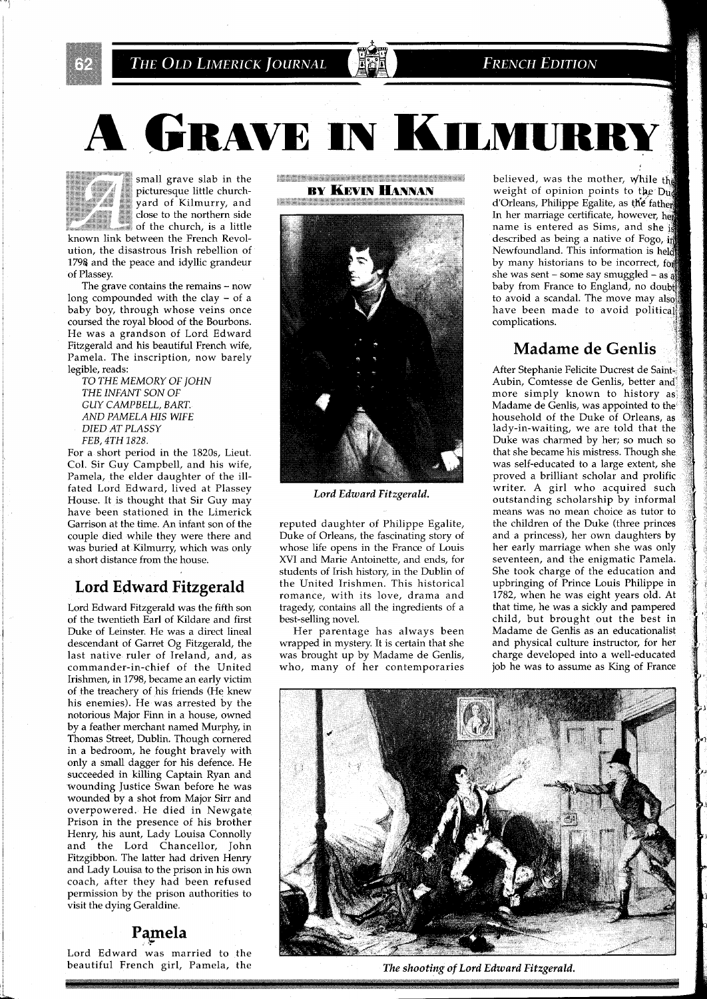THE OLD LIMERICK JOURNAL

**FRENCH EDITION** 

A GRAVE IN KILMURI



\*\*%a, small grave slab in the +++\*\*+,\*\*> **h+**  + \*, , \* \*\* , ;: picturesque little church picturesque little church-<br>yard of Kilmurry, and<br>close to the northern side yard of Kilmurry, and of the church, is a little

known link between the French Revolution, the disastrous Irish rebellion of 1798 and the peace and idyllic grandeur of Plassey.

The grave contains the remains  $-$  now long compounded with the clay - of a baby boy, through whose veins once coursed the royal blood of the Bourbons. He was a grandson of Lord Edward Fitzgerald and his beautiful French wife, Pamela. The inscription, now barely legible, reads:

*TO THE MEMORY OF JOHN THE INFANT SON OF GUY CAMPBELL, BART. AND PAMELA HIS WIFE DIED AT PLASSY FEB, 4TH 1828.* 

For a short period in the 1820s, Lieut. Col. Sir Guy Campbell, and his wife, Pamela, the elder daughter of the illfated Lord Edward, lived at Plassey House. It is thought that Sir Guy may have been stationed in the Limerick Garrison at the time. An infant son of the couple died while they were there and was buried at Kilmurry, which was only a short distance from the house.

## **Lord Edward Fitzgerald**

Lord Edward Fitzgerald was the fifth son of the twentieth Earl of Kildare and first Duke of Leinster. He was a direct lineal descendant of Garret Og Fitzgerald, the last native ruler of Ireland, and, as commander-in-chief of the United Irishmen, in 1798, became an early victim of the treachery of his friends (He knew his enemies). He was arrested by the notorious Major Finn in a house, owned by a feather merchant named Murphy, in Thomas Street, Dublin. Though cornered in a bedroom, he fought bravely with only a small dagger for his defence. He succeeded in killing Captain Ryan and wounding Justice Swan before he was wounded by a shot from Major Sirr and overpowered. He died in Newgate Prison in the presence of his brother Henry, his aunt, Lady Louisa Connolly and the Lord Chancellor, John Fitzgibbon. The latter had driven Henry and Lady Louisa to the prison in his own coach, after they had been refused permission by the prison authorities to visit the dying Geraldine.

## **Pamela ,k**

Lord Edward was married to the beautiful French girl, Pamela, the <u>the company of the company of the company of the company of the company of the company of the company of the company</u> **BY KEVIN HANNAN** 



*Lord Edward Fitzgerald.* 

reputed daughter of Philippe Egalite, Duke of Orleans, the fascinating story of whose life opens in the France of Louis XVI and Marie Antoinette, and ends, for students of Irish history, in the Dublin of the United Irishmen. This historical romance, with its love, drama and tragedy, contains all the ingredients of a best-selling novel.

Her parentage has always been wrapped in mystery. It is certain that she was brought up by Madame de Genlis, who, many of her contemporaries

believed, was the mother, while the weight of opinion points to the Due d'Orleans, Philippe Egalite, as the father In her marriage certificate, however, h name is entered as Sims, and she described as being a native of Fogo, in Newfoundland. This information is h by many historians to be incorrect, for she was sent - some say smuggled - as  $\frac{3}{68}$ baby from France to England, no d to avoid a scandal. The move may also have been made to avoid political complications.

RY

## **Madame de Genlis**

After Stephanie Felicite Ducrest de Aubin, Comtesse de Genlis, better and more simply known to history as Madame de Genlis, was appointed to the household of the Duke of Orleans, lady-in-waiting, we are told that the Duke was charmed by her; so much that she became his mistress. Though she was self-educated to a large extent, she proved a brilliant scholar and proli writer. A girl who acquired such outstanding scholarship by informal means was no mean choice as tutor to the children of the Duke (three princes and a princess), her own daughters by her early marriage when she was only seventeen, and the enigmatic Pamela. She took charge of the education and upbringing of Prince Louis Philippe in 1782, when he was eight years old. At that time, he was a sickly and pampered child, but brought out the best in Madame de Genlis as an educationalist and physical culture instructor, for her charge developed into a well-educated job he was to assume as King of France



*The shooting of Lord Edward Fitzgerald.*